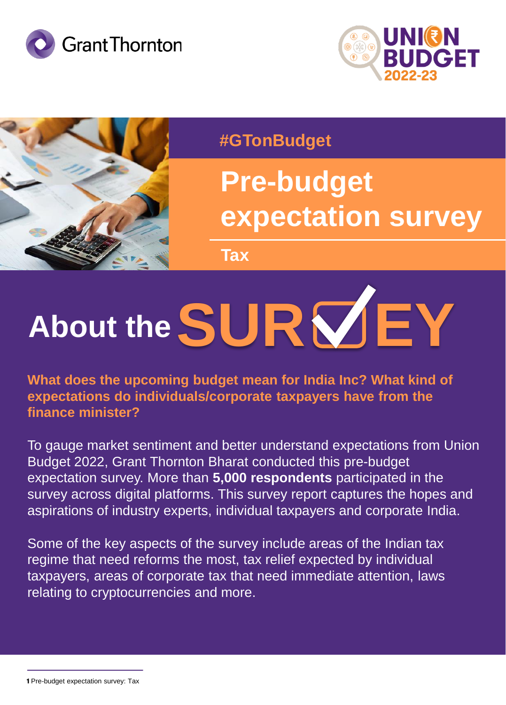





#### **#GTonBudget**

## **Pre-budget expectation survey**

**Tax**

# **About theSUR EY**

**What does the upcoming budget mean for India Inc? What kind of expectations do individuals/corporate taxpayers have from the finance minister?**

To gauge market sentiment and better understand expectations from Union Budget 2022, Grant Thornton Bharat conducted this pre-budget expectation survey. More than **5,000 respondents** participated in the survey across digital platforms. This survey report captures the hopes and aspirations of industry experts, individual taxpayers and corporate India.

Some of the key aspects of the survey include areas of the Indian tax regime that need reforms the most, tax relief expected by individual taxpayers, areas of corporate tax that need immediate attention, laws relating to cryptocurrencies and more.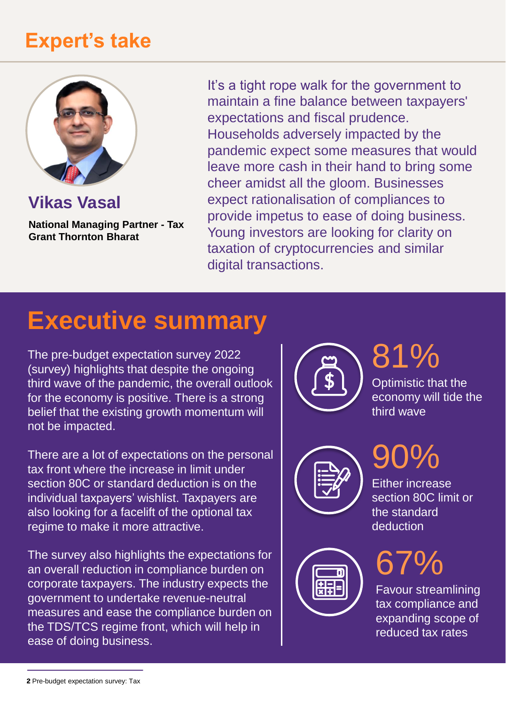### **Expert's take**



**Vikas Vasal**

**National Managing Partner - Tax Grant Thornton Bharat**

It's a tight rope walk for the government to maintain a fine balance between taxpayers' expectations and fiscal prudence. Households adversely impacted by the pandemic expect some measures that would leave more cash in their hand to bring some cheer amidst all the gloom. Businesses expect rationalisation of compliances to provide impetus to ease of doing business. Young investors are looking for clarity on taxation of cryptocurrencies and similar digital transactions.

## **Executive summary**

The pre-budget expectation survey 2022 (survey) highlights that despite the ongoing third wave of the pandemic, the overall outlook for the economy is positive. There is a strong belief that the existing growth momentum will not be impacted.

There are a lot of expectations on the personal tax front where the increase in limit under section 80C or standard deduction is on the individual taxpayers' wishlist. Taxpayers are also looking for a facelift of the optional tax regime to make it more attractive.

The survey also highlights the expectations for an overall reduction in compliance burden on corporate taxpayers. The industry expects the government to undertake revenue-neutral measures and ease the compliance burden on the TDS/TCS regime front, which will help in ease of doing business.



## 81%

Optimistic that the economy will tide the third wave



## 90%

Either increase section 80C limit or the standard deduction



67%

Favour streamlining tax compliance and expanding scope of reduced tax rates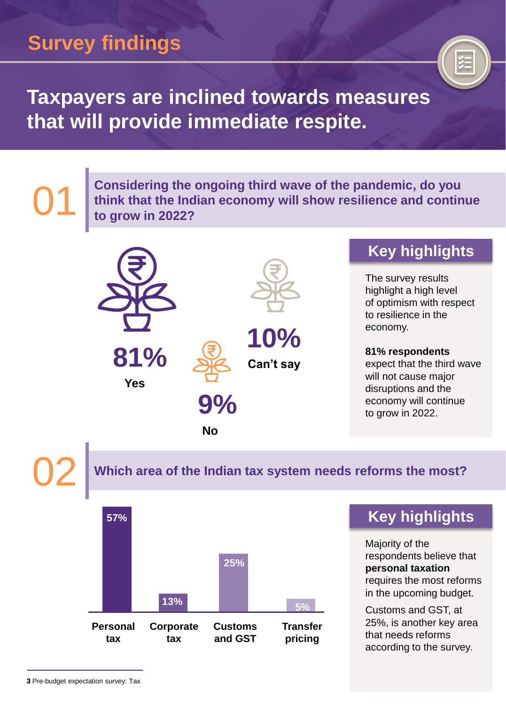## **Survey findings**



### **Taxpayers are inclined towards measures that will provide immediate respite.**

**Considering the ongoing third wave of the pandemic, do you think that the Indian economy will show resilience and continue to grow in 2022?**



**Yes**



**No**

**9%**

**Can't say 10%**

#### **Key highlights**

The survey results highlight a high level of optimism with respect to resilience in the economy.

**81% respondents**  expect that the third wave will not cause major disruptions and the economy will continue to grow in 2022.

01

02 **Which area of the Indian tax system needs reforms the most?**



#### **Key highlights**

Majority of the respondents believe that **personal taxation**  requires the most reforms in the upcoming budget.

Customs and GST, at 25%, is another key area that needs reforms according to the survey.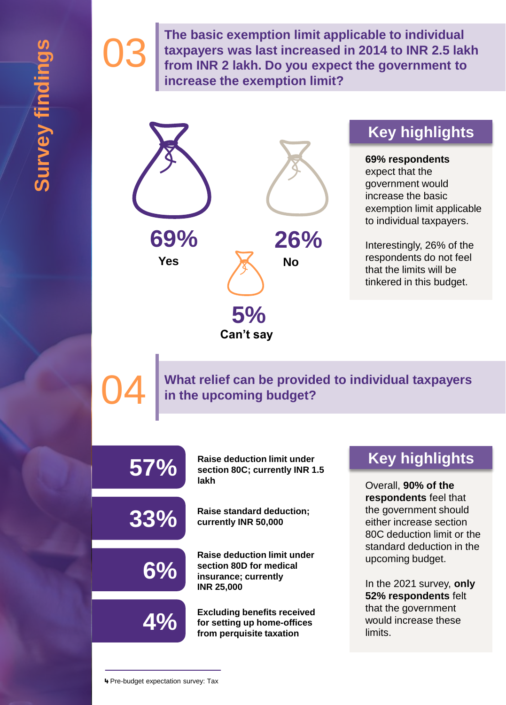03

04

**The basic exemption limit applicable to individual taxpayers was last increased in 2014 to INR 2.5 lakh from INR 2 lakh. Do you expect the government to increase the exemption limit?**



**Can't say**

#### **Key highlights**

**69% respondents**  expect that the government would increase the basic exemption limit applicable to individual taxpayers.

Interestingly, 26% of the respondents do not feel that the limits will be tinkered in this budget.

**What relief can be provided to individual taxpayers in the upcoming budget?**

| 57% | <b>Raise deduction limit under</b><br>section 80C; currently INR 1.5<br>lakh                               |
|-----|------------------------------------------------------------------------------------------------------------|
| 33% | <b>Raise standard deduction;</b><br>currently INR 50,000                                                   |
| 6%  | <b>Raise deduction limit under</b><br>section 80D for medical<br>insurance; currently<br><b>INR 25,000</b> |
|     | <b>Excluding benefits received</b><br>for setting up home-offices<br>from perquisite taxation              |

#### **Key highlights**

Overall, **90% of the respondents** feel that the government should either increase section 80C deduction limit or the standard deduction in the upcoming budget.

In the 2021 survey, **only 52% respondents** felt that the government would increase these limits.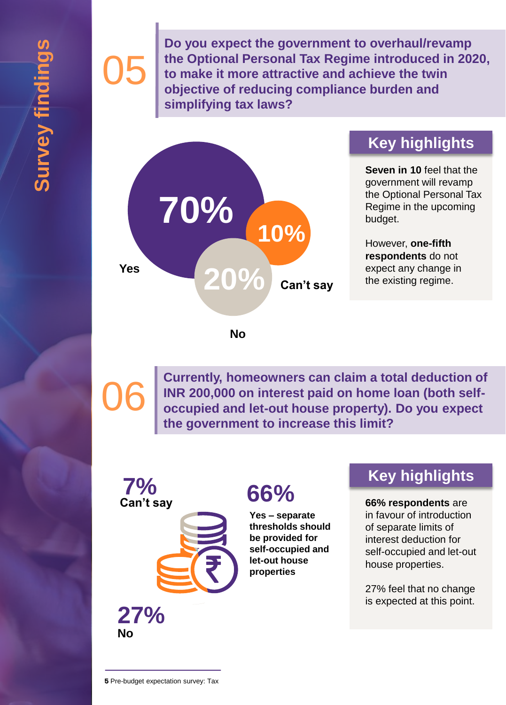# 05

**Do you expect the government to overhaul/revamp the Optional Personal Tax Regime introduced in 2020, to make it more attractive and achieve the twin objective of reducing compliance burden and simplifying tax laws?**



#### **Key highlights**

**Seven in 10** feel that the government will revamp the Optional Personal Tax Regime in the upcoming budget.

However, **one-fifth respondents** do not expect any change in the existing regime.

**No**

06 **Currently, homeowners can claim a total deduction of occupied and let-out house property). Do you expect INR 200,000 on interest paid on home loan (both selfthe government to increase this limit?**



**Yes – separate thresholds should be provided for self-occupied and let-out house properties**

#### **Key highlights**

#### **66% respondents** are

in favour of introduction of separate limits of interest deduction for self-occupied and let-out house properties.

27% feel that no change is expected at this point.

**No 27%**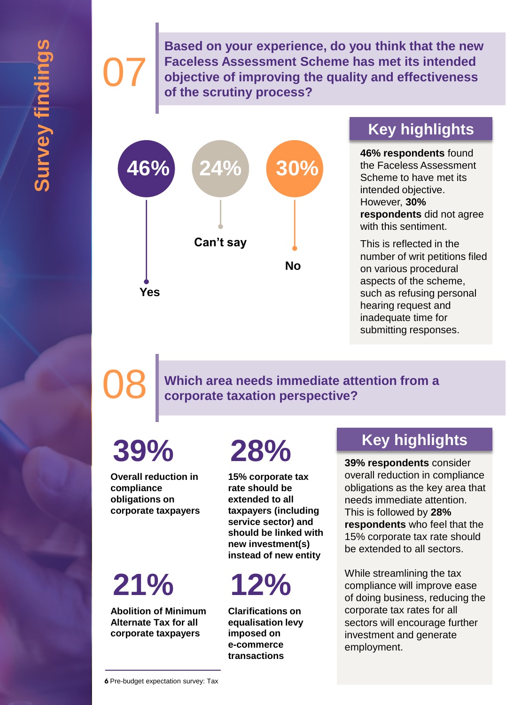**Based on your experience, do you think that the new Faceless Assessment Scheme has met its intended objective of improving the quality and effectiveness of the scrutiny process?**



#### **Key highlights**

**46% respondents** found the Faceless Assessment Scheme to have met its intended objective. However, **30% respondents** did not agree with this sentiment.

This is reflected in the number of writ petitions filed on various procedural aspects of the scheme, such as refusing personal hearing request and inadequate time for submitting responses.

07

08 **Which area needs immediate attention from a corporate taxation perspective?**

# **39%**

**Overall reduction in compliance obligations on corporate taxpayers**

# **21%**

**Abolition of Minimum Alternate Tax for all corporate taxpayers**

## **28%**

**15% corporate tax rate should be extended to all taxpayers (including service sector) and should be linked with new investment(s) instead of new entity**

**12%**

**Clarifications on equalisation levy imposed on e-commerce transactions**

#### **Key highlights**

**39% respondents** consider overall reduction in compliance obligations as the key area that needs immediate attention. This is followed by **28% respondents** who feel that the 15% corporate tax rate should be extended to all sectors.

While streamlining the tax compliance will improve ease of doing business, reducing the corporate tax rates for all sectors will encourage further investment and generate employment.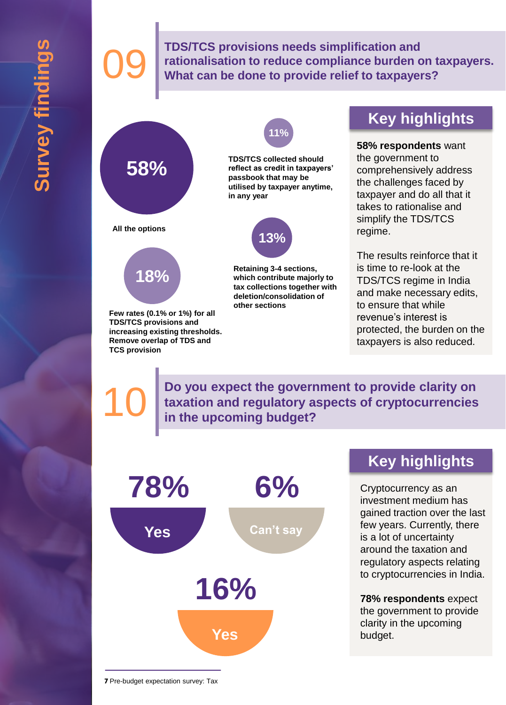**OS TDS/TCS provisions needs simplification and rationalisation to reduce compliance burden of What can be done to provide relief to taxpayer rationalisation to reduce compliance burden on taxpayers. What can be done to provide relief to taxpayers?**



**Few rates (0.1% or 1%) for all TDS/TCS provisions and increasing existing thresholds. Remove overlap of TDS and TCS provision**





**Retaining 3-4 sections, which contribute majorly to tax collections together with deletion/consolidation of other sections**

#### **Key highlights**

**58% respondents** want the government to comprehensively address the challenges faced by taxpayer and do all that it takes to rationalise and simplify the TDS/TCS regime.

The results reinforce that it is time to re-look at the TDS/TCS regime in India and make necessary edits, to ensure that while revenue's interest is protected, the burden on the taxpayers is also reduced.

**Do you expect the government to provide clarity on**  taxation and regulatory aspects of cryptocurrencies in the upcoming budget?



#### **Key highlights**

Cryptocurrency as an investment medium has gained traction over the last few years. Currently, there is a lot of uncertainty around the taxation and regulatory aspects relating to cryptocurrencies in India.

**78% respondents** expect the government to provide clarity in the upcoming budget.

**7** Pre-budget expectation survey: Tax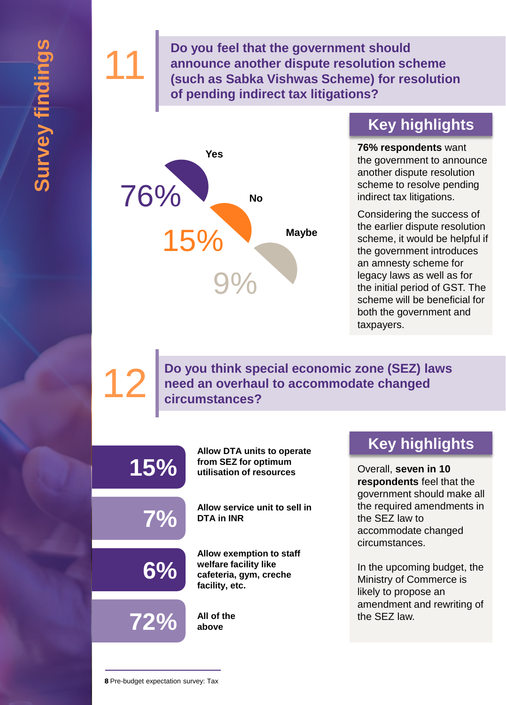**11 Do you feel that the government should<br>
announce another dispute resolution scl<br>
(such as Sabka Vishwas Scheme) for resolution scl<br>
(such as Sabka Vishwas Scheme) for resolution scl announce another dispute resolution scheme (such as Sabka Vishwas Scheme) for resolution of pending indirect tax litigations?**



#### **Key highlights**

**76% respondents** want the government to announce another dispute resolution scheme to resolve pending indirect tax litigations.

Considering the success of the earlier dispute resolution scheme, it would be helpful if the government introduces an amnesty scheme for legacy laws as well as for the initial period of GST. The scheme will be beneficial for both the government and taxpayers.

**Do you think special economic zone (SEZ) laws need an overhaul to accommodate changed circumstances?** 

| $15\%$ | Allow DTA units to operate<br>from SEZ for optimum<br>utilisation of resources                |
|--------|-----------------------------------------------------------------------------------------------|
| $7\%$  | Allow service unit to sell in<br><b>DTA in INR</b>                                            |
| $6\%$  | Allow exemption to staff<br>welfare facility like<br>cafeteria, gym, creche<br>facility, etc. |
| 72%    | All of the<br>above                                                                           |

#### **Key highlights**

Overall, **seven in 10 respondents** feel that the government should make all the required amendments in the SEZ law to accommodate changed circumstances.

In the upcoming budget, the Ministry of Commerce is likely to propose an amendment and rewriting of the SEZ law.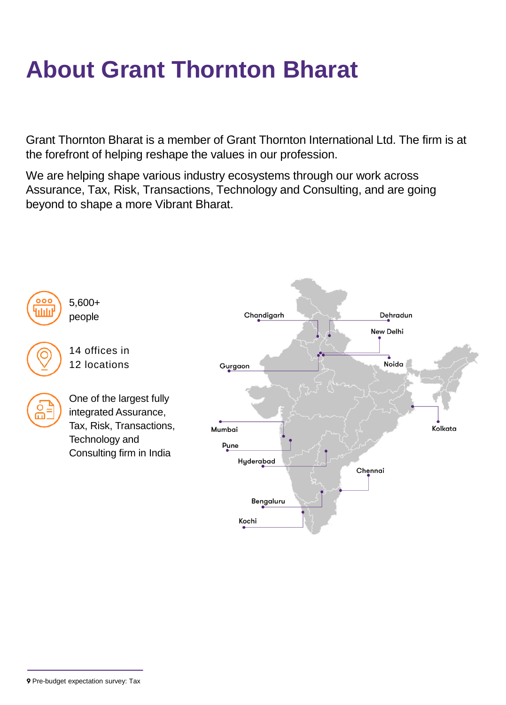## **About Grant Thornton Bharat**

Grant Thornton Bharat is a member of Grant Thornton International Ltd. The firm is at the forefront of helping reshape the values in our profession.

We are helping shape various industry ecosystems through our work across Assurance, Tax, Risk, Transactions, Technology and Consulting, and are going beyond to shape a more Vibrant Bharat.



**<sup>9</sup>** Pre-budget expectation survey: Tax